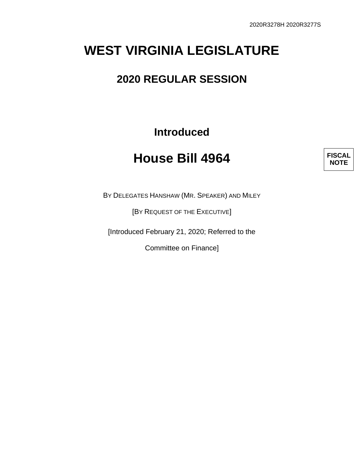## **WEST VIRGINIA LEGISLATURE**

## **2020 REGULAR SESSION**

**Introduced**

## **House Bill 4964**



BY DELEGATES HANSHAW (MR. SPEAKER) AND MILEY

[BY REQUEST OF THE EXECUTIVE]

[Introduced February 21, 2020; Referred to the

Committee on Finance]